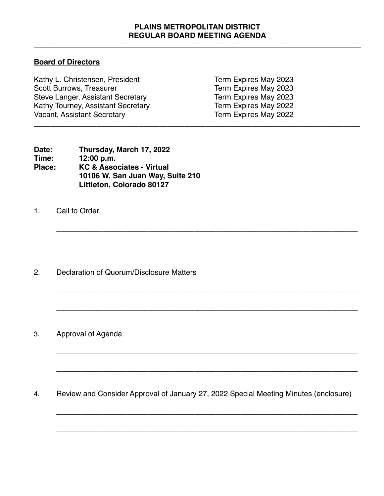## **PLAINS METROPOLITAN DISTRICT REGULAR BOARD MEETING AGENDA**

\_\_\_\_\_\_\_\_\_\_\_\_\_\_\_\_\_\_\_\_\_\_\_\_\_\_\_\_\_\_\_\_\_\_\_\_\_\_\_\_\_\_\_\_\_\_\_\_\_\_\_\_\_\_\_\_\_\_\_\_\_\_\_\_\_\_\_\_\_\_\_\_\_\_\_\_\_\_

**\_\_\_\_\_\_\_\_\_\_\_\_\_\_\_\_\_\_\_\_\_\_\_\_\_\_\_\_\_\_\_\_\_\_\_\_\_\_\_\_\_\_\_\_\_\_\_\_\_\_\_\_\_\_\_\_\_\_\_\_\_\_\_\_\_\_\_\_\_\_\_\_**

**\_\_\_\_\_\_\_\_\_\_\_\_\_\_\_\_\_\_\_\_\_\_\_\_\_\_\_\_\_\_\_\_\_\_\_\_\_\_\_\_\_\_\_\_\_\_\_\_\_\_\_\_\_\_\_\_\_\_\_\_\_\_\_\_\_\_\_\_\_\_\_\_**

**\_\_\_\_\_\_\_\_\_\_\_\_\_\_\_\_\_\_\_\_\_\_\_\_\_\_\_\_\_\_\_\_\_\_\_\_\_\_\_\_\_\_\_\_\_\_\_\_\_\_\_\_\_\_\_\_\_\_\_\_\_\_\_\_\_\_\_\_\_\_\_\_**

**\_\_\_\_\_\_\_\_\_\_\_\_\_\_\_\_\_\_\_\_\_\_\_\_\_\_\_\_\_\_\_\_\_\_\_\_\_\_\_\_\_\_\_\_\_\_\_\_\_\_\_\_\_\_\_\_\_\_\_\_\_\_\_\_\_\_\_\_\_\_\_\_**

**\_\_\_\_\_\_\_\_\_\_\_\_\_\_\_\_\_\_\_\_\_\_\_\_\_\_\_\_\_\_\_\_\_\_\_\_\_\_\_\_\_\_\_\_\_\_\_\_\_\_\_\_\_\_\_\_\_\_\_\_\_\_\_\_\_\_\_\_\_\_\_\_**

**\_\_\_\_\_\_\_\_\_\_\_\_\_\_\_\_\_\_\_\_\_\_\_\_\_\_\_\_\_\_\_\_\_\_\_\_\_\_\_\_\_\_\_\_\_\_\_\_\_\_\_\_\_\_\_\_\_\_\_\_\_\_\_\_\_\_\_\_\_\_\_\_**

\_\_\_\_\_\_\_\_\_\_\_\_\_\_\_\_\_\_\_\_\_\_\_\_\_\_\_\_\_\_\_\_\_\_\_\_\_\_\_\_\_\_\_\_\_\_\_\_\_\_\_\_\_\_\_\_\_\_\_\_\_\_\_\_\_\_\_\_\_\_\_\_

**\_\_\_\_\_\_\_\_\_\_\_\_\_\_\_\_\_\_\_\_\_\_\_\_\_\_\_\_\_\_\_\_\_\_\_\_\_\_\_\_\_\_\_\_\_\_\_\_\_\_\_\_\_\_\_\_\_\_\_\_\_\_\_\_\_\_\_\_\_\_\_\_**

## **Board of Directors**

| Kathy L. Christensen, President    | Term Expires May 2023 |  |
|------------------------------------|-----------------------|--|
| <b>Scott Burrows, Treasurer</b>    | Term Expires May 2023 |  |
| Steve Langer, Assistant Secretary  | Term Expires May 2023 |  |
| Kathy Tourney, Assistant Secretary | Term Expires May 2022 |  |
| <b>Vacant, Assistant Secretary</b> | Term Expires May 2022 |  |
|                                    |                       |  |

| Date:  | Thursday, March 17, 2022             |
|--------|--------------------------------------|
| Time:  | 12:00 p.m.                           |
| Place: | <b>KC &amp; Associates - Virtual</b> |
|        | 10106 W. San Juan Way, Suite 210     |
|        | Littleton, Colorado 80127            |

1. Call to Order

2. Declaration of Quorum/Disclosure Matters

3. Approval of Agenda

4. Review and Consider Approval of January 27, 2022 Special Meeting Minutes (enclosure)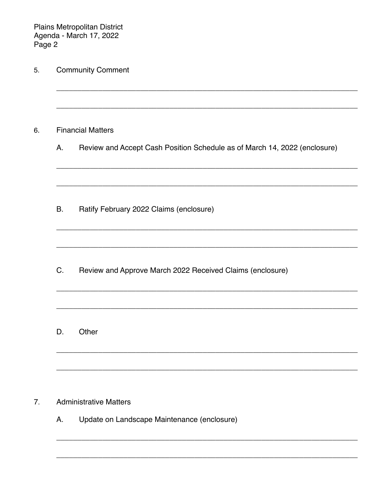Plains Metropolitan District<br>Agenda - March 17, 2022<br>Page 2

| <b>Financial Matters</b> |                                                                           |  |
|--------------------------|---------------------------------------------------------------------------|--|
| Α.                       | Review and Accept Cash Position Schedule as of March 14, 2022 (enclosure) |  |
|                          |                                                                           |  |
| <b>B.</b>                | Ratify February 2022 Claims (enclosure)                                   |  |
| C.                       | Review and Approve March 2022 Received Claims (enclosure)                 |  |
| D.                       | Other                                                                     |  |

А. Update on Landscape Maintenance (enclosure)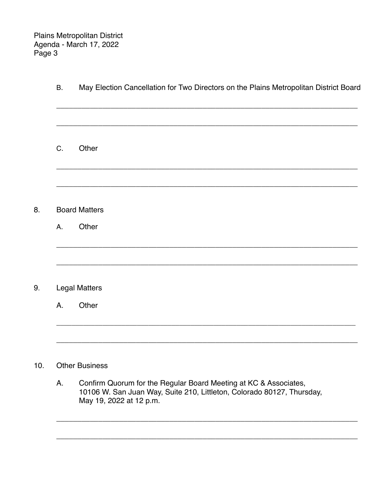8.

9.

 $10.$ 

| B. | May Election Cancellation for Two Directors on the Plains Metropolitan District Board                                                      |
|----|--------------------------------------------------------------------------------------------------------------------------------------------|
|    |                                                                                                                                            |
| C. | Other                                                                                                                                      |
|    |                                                                                                                                            |
|    | <b>Board Matters</b>                                                                                                                       |
| Α. | Other                                                                                                                                      |
|    |                                                                                                                                            |
|    | <b>Legal Matters</b>                                                                                                                       |
| Α. | Other                                                                                                                                      |
|    |                                                                                                                                            |
|    | <b>Other Business</b>                                                                                                                      |
| A. | Confirm Quorum for the Regular Board Meeting at KC & Associates,<br>10106 W. San Juan Way, Suite 210, Littleton, Colorado 80127, Thursday, |

May 19, 2022 at 12 p.m.